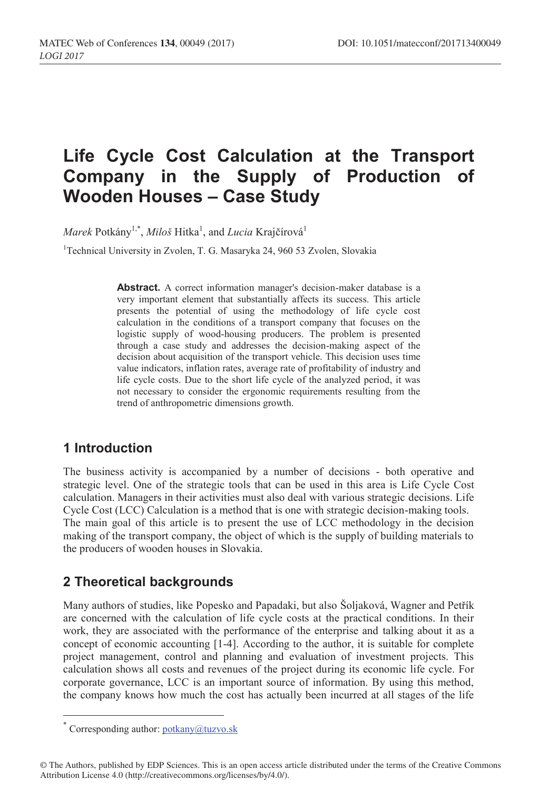# **Life Cycle Cost Calculation at the Transport Company in the Supply of Production of Wooden Houses – Case Study**

 $Marek$  Potkány<sup>1,\*</sup>, *Miloš* Hitka<sup>1</sup>, and *Lucia* Krajčírová<sup>1</sup>

<sup>1</sup>Technical University in Zvolen, T. G. Masaryka 24, 960 53 Zvolen, Slovakia

**Abstract.** A correct information manager's decision-maker database is a very important element that substantially affects its success. This article presents the potential of using the methodology of life cycle cost calculation in the conditions of a transport company that focuses on the logistic supply of wood-housing producers. The problem is presented through a case study and addresses the decision-making aspect of the decision about acquisition of the transport vehicle. This decision uses time value indicators, inflation rates, average rate of profitability of industry and life cycle costs. Due to the short life cycle of the analyzed period, it was not necessary to consider the ergonomic requirements resulting from the trend of anthropometric dimensions growth.

### **1 Introduction**

The business activity is accompanied by a number of decisions - both operative and strategic level. One of the strategic tools that can be used in this area is Life Cycle Cost calculation. Managers in their activities must also deal with various strategic decisions. Life Cycle Cost (LCC) Calculation is a method that is one with strategic decision-making tools. The main goal of this article is to present the use of LCC methodology in the decision making of the transport company, the object of which is the supply of building materials to the producers of wooden houses in Slovakia.

## **2 Theoretical backgrounds**

Many authors of studies, like Popesko and Papadaki, but also Šoljaková, Wagner and Petřík are concerned with the calculation of life cycle costs at the practical conditions. In their work, they are associated with the performance of the enterprise and talking about it as a concept of economic accounting [1-4]. According to the author, it is suitable for complete project management, control and planning and evaluation of investment projects. This calculation shows all costs and revenues of the project during its economic life cycle. For corporate governance, LCC is an important source of information. By using this method, the company knows how much the cost has actually been incurred at all stages of the life

 <sup>\*</sup> Corresponding author: potkany@tuzvo.sk

<sup>©</sup> The Authors, published by EDP Sciences. This is an open access article distributed under the terms of the Creative Commons Attribution License 4.0 (http://creativecommons.org/licenses/by/4.0/).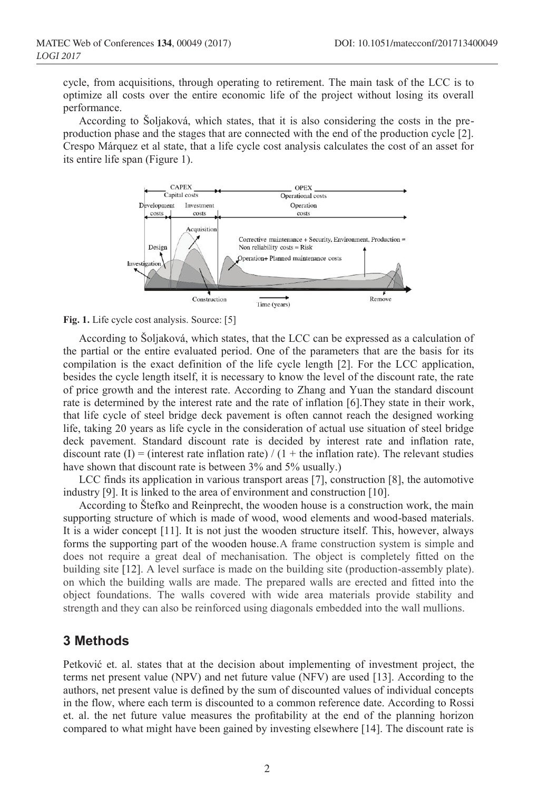cycle, from acquisitions, through operating to retirement. The main task of the LCC is to optimize all costs over the entire economic life of the project without losing its overall performance.

According to Šoljaková, which states, that it is also considering the costs in the preproduction phase and the stages that are connected with the end of the production cycle [2]. Crespo Márquez et al state, that a life cycle cost analysis calculates the cost of an asset for its entire life span (Figure 1).





According to Šoljaková, which states, that the LCC can be expressed as a calculation of the partial or the entire evaluated period. One of the parameters that are the basis for its compilation is the exact definition of the life cycle length [2]. For the LCC application, besides the cycle length itself, it is necessary to know the level of the discount rate, the rate of price growth and the interest rate. According to Zhang and Yuan the standard discount rate is determined by the interest rate and the rate of inflation [6].They state in their work, that life cycle of steel bridge deck pavement is often cannot reach the designed working life, taking 20 years as life cycle in the consideration of actual use situation of steel bridge deck pavement. Standard discount rate is decided by interest rate and inflation rate, discount rate (I) = (interest rate inflation rate) /  $(1 +$  the inflation rate). The relevant studies have shown that discount rate is between  $3\%$  and  $5\%$  usually.)

LCC finds its application in various transport areas [7], construction [8], the automotive industry [9]. It is linked to the area of environment and construction [10].

According to Štefko and Reinprecht, the wooden house is a construction work, the main supporting structure of which is made of wood, wood elements and wood-based materials. It is a wider concept [11]. It is not just the wooden structure itself. This, however, always forms the supporting part of the wooden house.A frame construction system is simple and does not require a great deal of mechanisation. The object is completely fitted on the building site [12]. A level surface is made on the building site (production-assembly plate). on which the building walls are made. The prepared walls are erected and fitted into the object foundations. The walls covered with wide area materials provide stability and strength and they can also be reinforced using diagonals embedded into the wall mullions.

#### **3 Methods**

Petković et. al. states that at the decision about implementing of investment project, the terms net present value (NPV) and net future value (NFV) are used [13]. According to the authors, net present value is defined by the sum of discounted values of individual concepts in the flow, where each term is discounted to a common reference date. According to Rossi et. al. the net future value measures the profitability at the end of the planning horizon compared to what might have been gained by investing elsewhere [14]. The discount rate is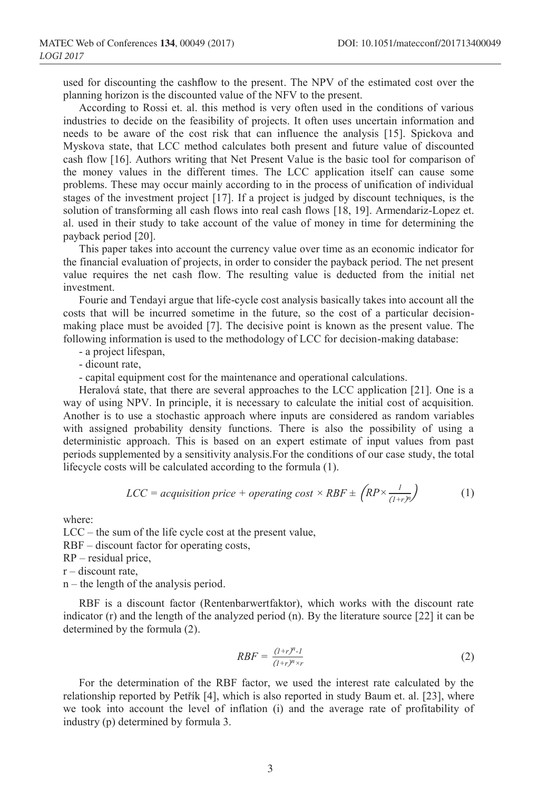used for discounting the cashflow to the present. The NPV of the estimated cost over the planning horizon is the discounted value of the NFV to the present.

According to Rossi et. al. this method is very often used in the conditions of various industries to decide on the feasibility of projects. It often uses uncertain information and needs to be aware of the cost risk that can influence the analysis [15]. Spickova and Myskova state, that LCC method calculates both present and future value of discounted cash flow [16]. Authors writing that Net Present Value is the basic tool for comparison of the money values in the different times. The LCC application itself can cause some problems. These may occur mainly according to in the process of unification of individual stages of the investment project [17]. If a project is judged by discount techniques, is the solution of transforming all cash flows into real cash flows [18, 19]. Armendariz-Lopez et. al. used in their study to take account of the value of money in time for determining the payback period [20].

This paper takes into account the currency value over time as an economic indicator for the financial evaluation of projects, in order to consider the payback period. The net present value requires the net cash flow. The resulting value is deducted from the initial net investment.

Fourie and Tendayi argue that life-cycle cost analysis basically takes into account all the costs that will be incurred sometime in the future, so the cost of a particular decisionmaking place must be avoided [7]. The decisive point is known as the present value. The following information is used to the methodology of LCC for decision-making database:

- a project lifespan,

- dicount rate,

- capital equipment cost for the maintenance and operational calculations.

Heralová state, that there are several approaches to the LCC application [21]. One is a way of using NPV. In principle, it is necessary to calculate the initial cost of acquisition. Another is to use a stochastic approach where inputs are considered as random variables with assigned probability density functions. There is also the possibility of using a deterministic approach. This is based on an expert estimate of input values from past periods supplemented by a sensitivity analysis.For the conditions of our case study, the total lifecycle costs will be calculated according to the formula (1).

$$
LCC = acquisition\ price + operating\ cost \times RBF \pm \left(RP \times \frac{1}{(1+r)^n}\right) \tag{1}
$$

where:

LCC – the sum of the life cycle cost at the present value,

RBF – discount factor for operating costs,

RP – residual price,

 $r$  – discount rate,

n – the length of the analysis period.

RBF is a discount factor (Rentenbarwertfaktor), which works with the discount rate indicator (r) and the length of the analyzed period (n). By the literature source [22] it can be determined by the formula (2).

$$
RBF = \frac{(1+r)^n \cdot I}{(1+r)^n \cdot r} \tag{2}
$$

For the determination of the RBF factor, we used the interest rate calculated by the relationship reported by Petřík [4], which is also reported in study Baum et. al. [23], where we took into account the level of inflation (i) and the average rate of profitability of industry (p) determined by formula 3.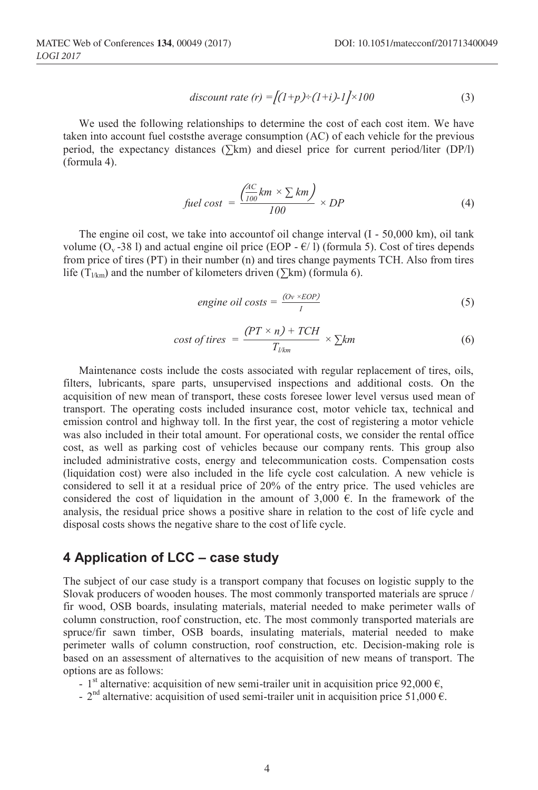$$
discount rate (r) = [(1+p) \div (1+i) - 1] \times 100 \tag{3}
$$

We used the following relationships to determine the cost of each cost item. We have taken into account fuel coststhe average consumption (AC) of each vehicle for the previous period, the expectancy distances (∑km) and diesel price for current period/liter (DP/l) (formula 4).

$$
fuel cost = \frac{\left(\frac{AC}{100}km \times \sum km\right)}{100} \times DP \tag{4}
$$

The engine oil cost, we take into accountof oil change interval (I - 50,000 km), oil tank volume ( $O_v$ -38 l) and actual engine oil price (EOP -  $\varepsilon$ / l) (formula 5). Cost of tires depends from price of tires (PT) in their number (n) and tires change payments TCH. Also from tires life (T<sub>l/km</sub>) and the number of kilometers driven (∑km) (formula 6).

$$
engine\ oil\ costs = \frac{(Ov \times EOP)}{I} \tag{5}
$$

cost of tires = 
$$
\frac{(PT \times n) + TCH}{T_{l/km}} \times \sum km
$$
 (6)

Maintenance costs include the costs associated with regular replacement of tires, oils, filters, lubricants, spare parts, unsupervised inspections and additional costs. On the acquisition of new mean of transport, these costs foresee lower level versus used mean of transport. The operating costs included insurance cost, motor vehicle tax, technical and emission control and highway toll. In the first year, the cost of registering a motor vehicle was also included in their total amount. For operational costs, we consider the rental office cost, as well as parking cost of vehicles because our company rents. This group also included administrative costs, energy and telecommunication costs. Compensation costs (liquidation cost) were also included in the life cycle cost calculation. A new vehicle is considered to sell it at a residual price of 20% of the entry price. The used vehicles are considered the cost of liquidation in the amount of 3,000  $\epsilon$ . In the framework of the analysis, the residual price shows a positive share in relation to the cost of life cycle and disposal costs shows the negative share to the cost of life cycle.

#### **4 Application of LCC – case study**

The subject of our case study is a transport company that focuses on logistic supply to the Slovak producers of wooden houses. The most commonly transported materials are spruce / fir wood, OSB boards, insulating materials, material needed to make perimeter walls of column construction, roof construction, etc. The most commonly transported materials are spruce/fir sawn timber, OSB boards, insulating materials, material needed to make perimeter walls of column construction, roof construction, etc. Decision-making role is based on an assessment of alternatives to the acquisition of new means of transport. The options are as follows:

- 1<sup>st</sup> alternative: acquisition of new semi-trailer unit in acquisition price 92,000  $\epsilon$ ,

-  $2<sup>nd</sup>$  alternative: acquisition of used semi-trailer unit in acquisition price 51,000  $\epsilon$ .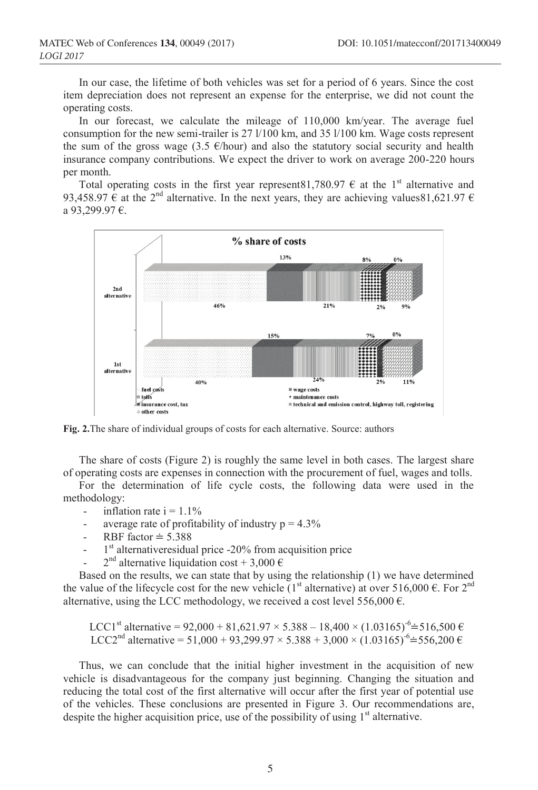In our case, the lifetime of both vehicles was set for a period of 6 years. Since the cost item depreciation does not represent an expense for the enterprise, we did not count the operating costs.

In our forecast, we calculate the mileage of 110,000 km/year. The average fuel consumption for the new semi-trailer is 27 l/100 km, and 35 l/100 km. Wage costs represent the sum of the gross wage (3.5  $\epsilon$ /hour) and also the statutory social security and health insurance company contributions. We expect the driver to work on average 200-220 hours per month.

Total operating costs in the first year represent 81,780.97  $\epsilon$  at the 1<sup>st</sup> alternative and 93,458.97  $\hat{\epsilon}$  at the 2<sup>nd</sup> alternative. In the next years, they are achieving values81,621.97  $\epsilon$ a 93,299.97 €.



**Fig. 2.**The share of individual groups of costs for each alternative. Source: authors

The share of costs (Figure 2) is roughly the same level in both cases. The largest share of operating costs are expenses in connection with the procurement of fuel, wages and tolls.

For the determination of life cycle costs, the following data were used in the methodology:

- inflation rate  $i = 1.1\%$
- average rate of profitability of industry  $p = 4.3\%$
- RBF factor  $\dot{=}$  5.388
- $1<sup>st</sup>$  alternativeresidual price -20% from acquisition price
- $2<sup>nd</sup>$  alternative liquidation cost + 3,000  $\epsilon$

Based on the results, we can state that by using the relationship (1) we have determined the value of the lifecycle cost for the new vehicle (1<sup>st</sup> alternative) at over 516,000  $\epsilon$ . For 2<sup>nd</sup> alternative, using the LCC methodology, we received a cost level 556,000  $\epsilon$ .

LCC1<sup>st</sup> alternative = 92,000 + 81,621.97  $\times$  5.388 - 18,400  $\times$  (1.03165)<sup>-6</sup> = 516,500 € LCC2<sup>nd</sup> alternative = 51,000 + 93,299.97 × 5.388 + 3,000 × (1.03165)<sup>-6</sup> = 556,200 €

Thus, we can conclude that the initial higher investment in the acquisition of new vehicle is disadvantageous for the company just beginning. Changing the situation and reducing the total cost of the first alternative will occur after the first year of potential use of the vehicles. These conclusions are presented in Figure 3. Our recommendations are, despite the higher acquisition price, use of the possibility of using  $1<sup>st</sup>$  alternative.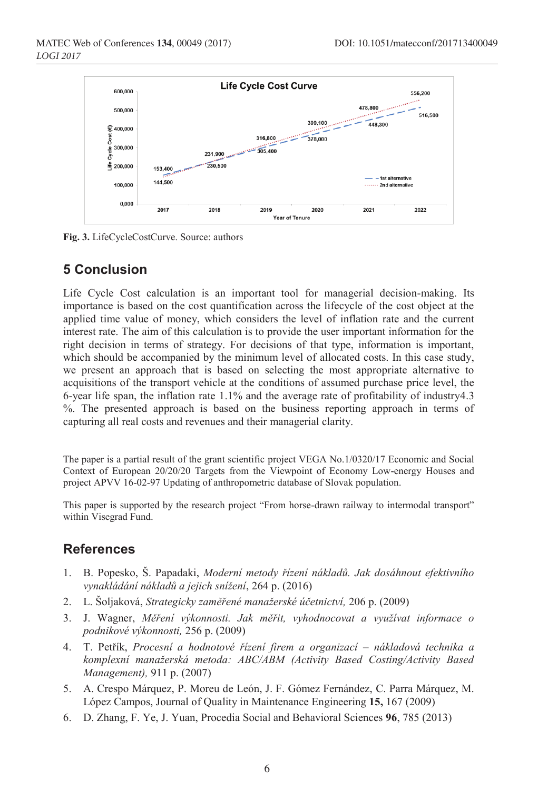

**Fig. 3.** LifeCycleCostCurve. Source: authors

## **5 Conclusion**

Life Cycle Cost calculation is an important tool for managerial decision-making. Its importance is based on the cost quantification across the lifecycle of the cost object at the applied time value of money, which considers the level of inflation rate and the current interest rate. The aim of this calculation is to provide the user important information for the right decision in terms of strategy. For decisions of that type, information is important, which should be accompanied by the minimum level of allocated costs. In this case study, we present an approach that is based on selecting the most appropriate alternative to acquisitions of the transport vehicle at the conditions of assumed purchase price level, the 6-year life span, the inflation rate 1.1% and the average rate of profitability of industry4.3 %. The presented approach is based on the business reporting approach in terms of capturing all real costs and revenues and their managerial clarity.

The paper is a partial result of the grant scientific project VEGA No.1/0320/17 Economic and Social Context of European 20/20/20 Targets from the Viewpoint of Economy Low-energy Houses and project APVV 16-02-97 Updating of anthropometric database of Slovak population.

This paper is supported by the research project "From horse-drawn railway to intermodal transport" within Visegrad Fund.

### **References**

- 1. B. Popesko, Š. Papadaki, *Moderní metody řízení nákladů. Jak dosáhnout efektivního vynakládání nákladů a jejich snížení*, 264 p. (2016)
- 2. L. Šoljaková, *Strategicky zaměřené manažerské účetnictví,* 206 p. (2009)
- 3. J. Wagner, *Měření výkonnosti. Jak měřit, vyhodnocovat a využívat informace o podnikové výkonnosti,* 256 p. (2009)
- 4. T. Petřík, *Procesní a hodnotové řízení firem a organizací – nákladová technika a komplexní manažerská metoda: ABC/ABM (Activity Based Costing/Activity Based Management),* 911 p. (2007)
- 5. A. Crespo Márquez, P. Moreu de León, J. F. Gómez Fernández, C. Parra Márquez, M. López Campos, Journal of Quality in Maintenance Engineering **15,** 167 (2009)
- 6. D. Zhang, F. Ye, J. Yuan, Procedia Social and Behavioral Sciences **96**, 785 (2013)